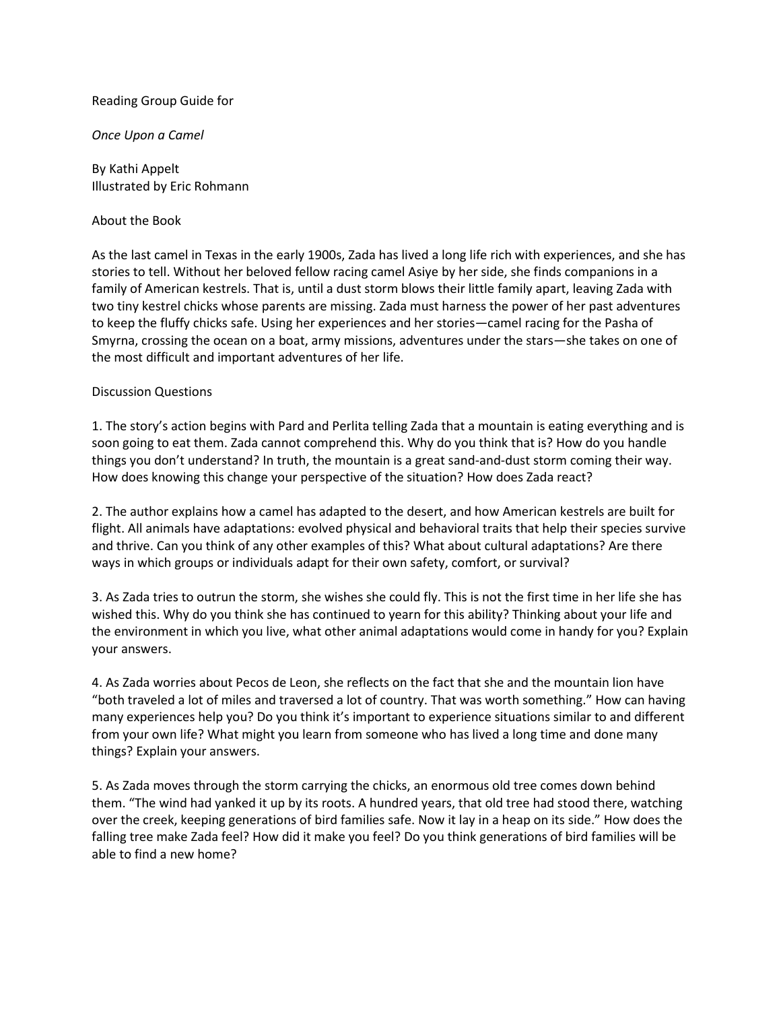### Reading Group Guide for

### *Once Upon a Camel*

By Kathi Appelt Illustrated by Eric Rohmann

### About the Book

As the last camel in Texas in the early 1900s, Zada has lived a long life rich with experiences, and she has stories to tell. Without her beloved fellow racing camel Asiye by her side, she finds companions in a family of American kestrels. That is, until a dust storm blows their little family apart, leaving Zada with two tiny kestrel chicks whose parents are missing. Zada must harness the power of her past adventures to keep the fluffy chicks safe. Using her experiences and her stories—camel racing for the Pasha of Smyrna, crossing the ocean on a boat, army missions, adventures under the stars—she takes on one of the most difficult and important adventures of her life.

### Discussion Questions

1. The story's action begins with Pard and Perlita telling Zada that a mountain is eating everything and is soon going to eat them. Zada cannot comprehend this. Why do you think that is? How do you handle things you don't understand? In truth, the mountain is a great sand-and-dust storm coming their way. How does knowing this change your perspective of the situation? How does Zada react?

2. The author explains how a camel has adapted to the desert, and how American kestrels are built for flight. All animals have adaptations: evolved physical and behavioral traits that help their species survive and thrive. Can you think of any other examples of this? What about cultural adaptations? Are there ways in which groups or individuals adapt for their own safety, comfort, or survival?

3. As Zada tries to outrun the storm, she wishes she could fly. This is not the first time in her life she has wished this. Why do you think she has continued to yearn for this ability? Thinking about your life and the environment in which you live, what other animal adaptations would come in handy for you? Explain your answers.

4. As Zada worries about Pecos de Leon, she reflects on the fact that she and the mountain lion have "both traveled a lot of miles and traversed a lot of country. That was worth something." How can having many experiences help you? Do you think it's important to experience situations similar to and different from your own life? What might you learn from someone who has lived a long time and done many things? Explain your answers.

5. As Zada moves through the storm carrying the chicks, an enormous old tree comes down behind them. "The wind had yanked it up by its roots. A hundred years, that old tree had stood there, watching over the creek, keeping generations of bird families safe. Now it lay in a heap on its side." How does the falling tree make Zada feel? How did it make you feel? Do you think generations of bird families will be able to find a new home?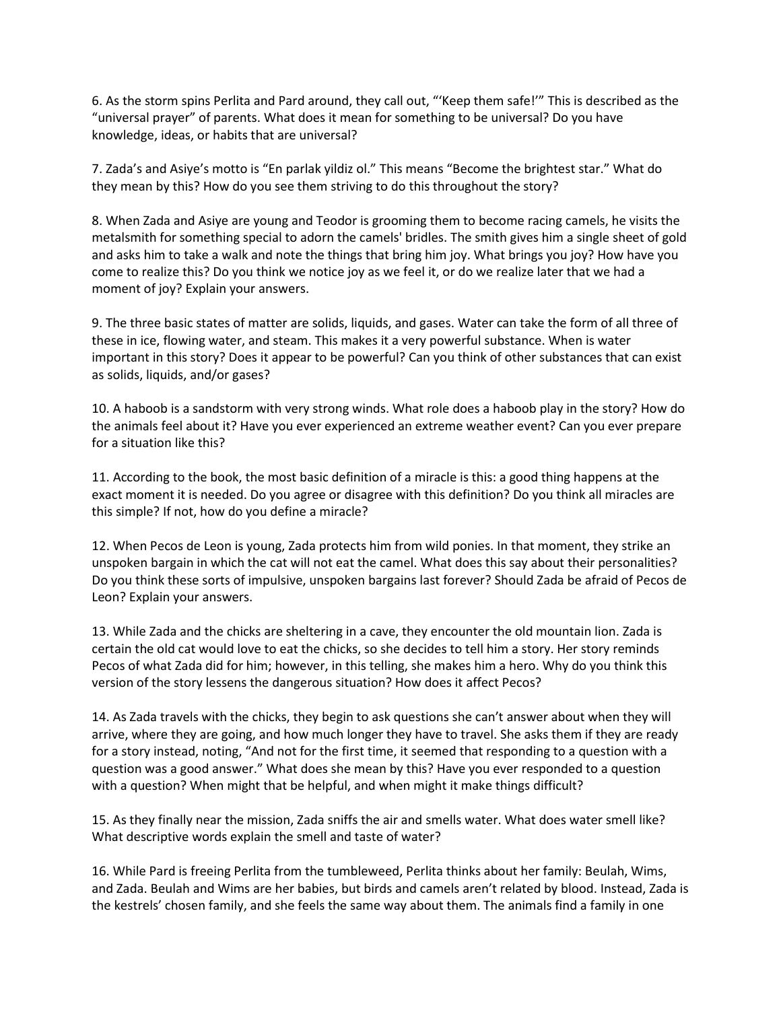6. As the storm spins Perlita and Pard around, they call out, "'Keep them safe!'" This is described as the "universal prayer" of parents. What does it mean for something to be universal? Do you have knowledge, ideas, or habits that are universal?

7. Zada's and Asiye's motto is "En parlak yildiz ol." This means "Become the brightest star." What do they mean by this? How do you see them striving to do this throughout the story?

8. When Zada and Asiye are young and Teodor is grooming them to become racing camels, he visits the metalsmith for something special to adorn the camels' bridles. The smith gives him a single sheet of gold and asks him to take a walk and note the things that bring him joy. What brings you joy? How have you come to realize this? Do you think we notice joy as we feel it, or do we realize later that we had a moment of joy? Explain your answers.

9. The three basic states of matter are solids, liquids, and gases. Water can take the form of all three of these in ice, flowing water, and steam. This makes it a very powerful substance. When is water important in this story? Does it appear to be powerful? Can you think of other substances that can exist as solids, liquids, and/or gases?

10. A haboob is a sandstorm with very strong winds. What role does a haboob play in the story? How do the animals feel about it? Have you ever experienced an extreme weather event? Can you ever prepare for a situation like this?

11. According to the book, the most basic definition of a miracle is this: a good thing happens at the exact moment it is needed. Do you agree or disagree with this definition? Do you think all miracles are this simple? If not, how do you define a miracle?

12. When Pecos de Leon is young, Zada protects him from wild ponies. In that moment, they strike an unspoken bargain in which the cat will not eat the camel. What does this say about their personalities? Do you think these sorts of impulsive, unspoken bargains last forever? Should Zada be afraid of Pecos de Leon? Explain your answers.

13. While Zada and the chicks are sheltering in a cave, they encounter the old mountain lion. Zada is certain the old cat would love to eat the chicks, so she decides to tell him a story. Her story reminds Pecos of what Zada did for him; however, in this telling, she makes him a hero. Why do you think this version of the story lessens the dangerous situation? How does it affect Pecos?

14. As Zada travels with the chicks, they begin to ask questions she can't answer about when they will arrive, where they are going, and how much longer they have to travel. She asks them if they are ready for a story instead, noting, "And not for the first time, it seemed that responding to a question with a question was a good answer." What does she mean by this? Have you ever responded to a question with a question? When might that be helpful, and when might it make things difficult?

15. As they finally near the mission, Zada sniffs the air and smells water. What does water smell like? What descriptive words explain the smell and taste of water?

16. While Pard is freeing Perlita from the tumbleweed, Perlita thinks about her family: Beulah, Wims, and Zada. Beulah and Wims are her babies, but birds and camels aren't related by blood. Instead, Zada is the kestrels' chosen family, and she feels the same way about them. The animals find a family in one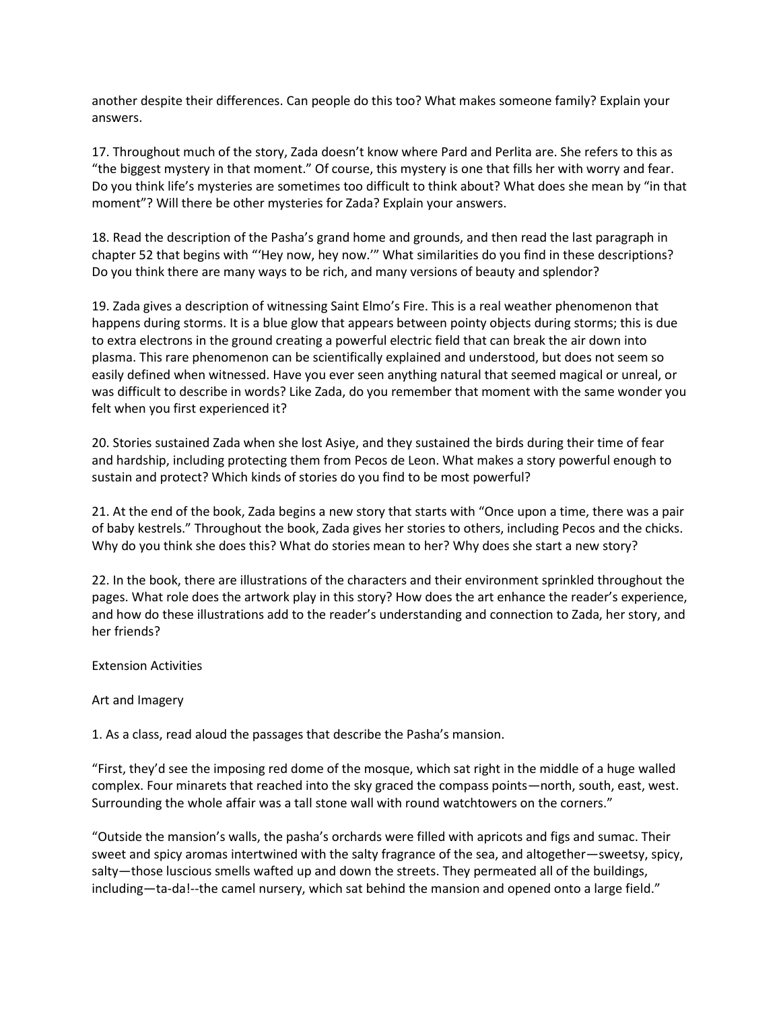another despite their differences. Can people do this too? What makes someone family? Explain your answers.

17. Throughout much of the story, Zada doesn't know where Pard and Perlita are. She refers to this as "the biggest mystery in that moment." Of course, this mystery is one that fills her with worry and fear. Do you think life's mysteries are sometimes too difficult to think about? What does she mean by "in that moment"? Will there be other mysteries for Zada? Explain your answers.

18. Read the description of the Pasha's grand home and grounds, and then read the last paragraph in chapter 52 that begins with "'Hey now, hey now.'" What similarities do you find in these descriptions? Do you think there are many ways to be rich, and many versions of beauty and splendor?

19. Zada gives a description of witnessing Saint Elmo's Fire. This is a real weather phenomenon that happens during storms. It is a blue glow that appears between pointy objects during storms; this is due to extra electrons in the ground creating a powerful electric field that can break the air down into plasma. This rare phenomenon can be scientifically explained and understood, but does not seem so easily defined when witnessed. Have you ever seen anything natural that seemed magical or unreal, or was difficult to describe in words? Like Zada, do you remember that moment with the same wonder you felt when you first experienced it?

20. Stories sustained Zada when she lost Asiye, and they sustained the birds during their time of fear and hardship, including protecting them from Pecos de Leon. What makes a story powerful enough to sustain and protect? Which kinds of stories do you find to be most powerful?

21. At the end of the book, Zada begins a new story that starts with "Once upon a time, there was a pair of baby kestrels." Throughout the book, Zada gives her stories to others, including Pecos and the chicks. Why do you think she does this? What do stories mean to her? Why does she start a new story?

22. In the book, there are illustrations of the characters and their environment sprinkled throughout the pages. What role does the artwork play in this story? How does the art enhance the reader's experience, and how do these illustrations add to the reader's understanding and connection to Zada, her story, and her friends?

## Extension Activities

## Art and Imagery

1. As a class, read aloud the passages that describe the Pasha's mansion.

"First, they'd see the imposing red dome of the mosque, which sat right in the middle of a huge walled complex. Four minarets that reached into the sky graced the compass points—north, south, east, west. Surrounding the whole affair was a tall stone wall with round watchtowers on the corners."

"Outside the mansion's walls, the pasha's orchards were filled with apricots and figs and sumac. Their sweet and spicy aromas intertwined with the salty fragrance of the sea, and altogether—sweetsy, spicy, salty—those luscious smells wafted up and down the streets. They permeated all of the buildings, including—ta-da!--the camel nursery, which sat behind the mansion and opened onto a large field."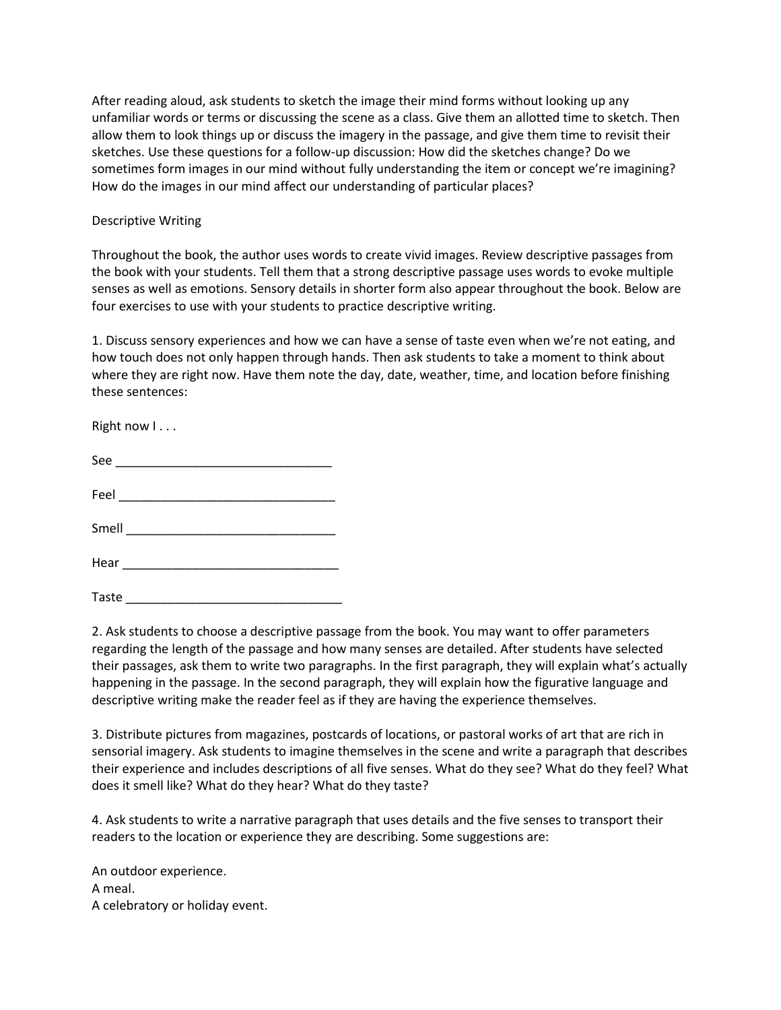After reading aloud, ask students to sketch the image their mind forms without looking up any unfamiliar words or terms or discussing the scene as a class. Give them an allotted time to sketch. Then allow them to look things up or discuss the imagery in the passage, and give them time to revisit their sketches. Use these questions for a follow-up discussion: How did the sketches change? Do we sometimes form images in our mind without fully understanding the item or concept we're imagining? How do the images in our mind affect our understanding of particular places?

### Descriptive Writing

Throughout the book, the author uses words to create vivid images. Review descriptive passages from the book with your students. Tell them that a strong descriptive passage uses words to evoke multiple senses as well as emotions. Sensory details in shorter form also appear throughout the book. Below are four exercises to use with your students to practice descriptive writing.

1. Discuss sensory experiences and how we can have a sense of taste even when we're not eating, and how touch does not only happen through hands. Then ask students to take a moment to think about where they are right now. Have them note the day, date, weather, time, and location before finishing these sentences:

Right now  $1 \ldots$ 

| c<br>∼ |  |  |  |  |
|--------|--|--|--|--|
|        |  |  |  |  |
|        |  |  |  |  |

Feel \_\_\_\_\_\_\_\_\_\_\_\_\_\_\_\_\_\_\_\_\_\_\_\_\_\_\_\_\_\_\_

Smell \_\_\_\_\_\_\_\_\_\_\_\_\_\_\_\_\_\_\_\_\_\_\_\_\_\_\_\_\_\_

Hear  $\overline{\phantom{a}}$ 

 $\sqrt{1 + \sum_{i=1}^n \sum_{j=1}^n \sum_{j=1}^n \sum_{j=1}^n \sum_{j=1}^n \sum_{j=1}^n \sum_{j=1}^n \sum_{j=1}^n \sum_{j=1}^n \sum_{j=1}^n \sum_{j=1}^n \sum_{j=1}^n \sum_{j=1}^n \sum_{j=1}^n \sum_{j=1}^n \sum_{j=1}^n \sum_{j=1}^n \sum_{j=1}^n \sum_{j=1}^n \sum_{j=1}^n \sum_{j=1}^n \sum_{j=1}^n \sum_{j=1}^n \sum_{j=1}^$ 

2. Ask students to choose a descriptive passage from the book. You may want to offer parameters regarding the length of the passage and how many senses are detailed. After students have selected their passages, ask them to write two paragraphs. In the first paragraph, they will explain what's actually happening in the passage. In the second paragraph, they will explain how the figurative language and descriptive writing make the reader feel as if they are having the experience themselves.

3. Distribute pictures from magazines, postcards of locations, or pastoral works of art that are rich in sensorial imagery. Ask students to imagine themselves in the scene and write a paragraph that describes their experience and includes descriptions of all five senses. What do they see? What do they feel? What does it smell like? What do they hear? What do they taste?

4. Ask students to write a narrative paragraph that uses details and the five senses to transport their readers to the location or experience they are describing. Some suggestions are:

An outdoor experience. A meal. A celebratory or holiday event.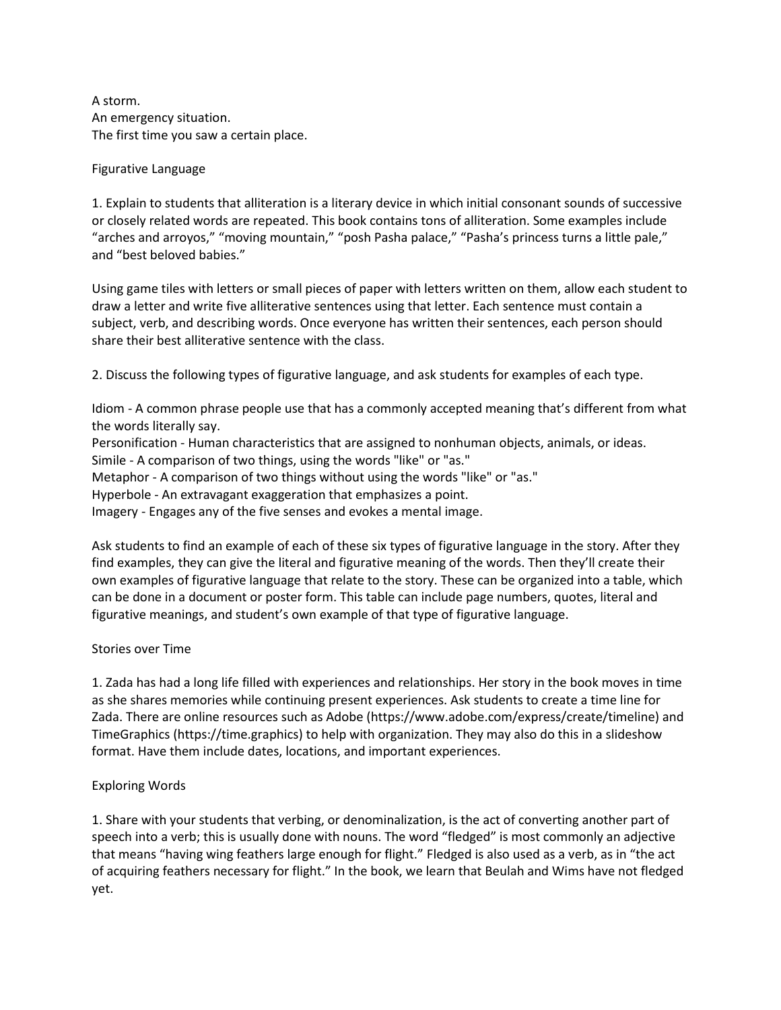A storm. An emergency situation. The first time you saw a certain place.

Figurative Language

1. Explain to students that alliteration is a literary device in which initial consonant sounds of successive or closely related words are repeated. This book contains tons of alliteration. Some examples include "arches and arroyos," "moving mountain," "posh Pasha palace," "Pasha's princess turns a little pale," and "best beloved babies."

Using game tiles with letters or small pieces of paper with letters written on them, allow each student to draw a letter and write five alliterative sentences using that letter. Each sentence must contain a subject, verb, and describing words. Once everyone has written their sentences, each person should share their best alliterative sentence with the class.

2. Discuss the following types of figurative language, and ask students for examples of each type.

Idiom - A common phrase people use that has a commonly accepted meaning that's different from what the words literally say.

Personification - Human characteristics that are assigned to nonhuman objects, animals, or ideas. Simile - A comparison of two things, using the words "like" or "as."

Metaphor - A comparison of two things without using the words "like" or "as."

Hyperbole - An extravagant exaggeration that emphasizes a point.

Imagery - Engages any of the five senses and evokes a mental image.

Ask students to find an example of each of these six types of figurative language in the story. After they find examples, they can give the literal and figurative meaning of the words. Then they'll create their own examples of figurative language that relate to the story. These can be organized into a table, which can be done in a document or poster form. This table can include page numbers, quotes, literal and figurative meanings, and student's own example of that type of figurative language.

# Stories over Time

1. Zada has had a long life filled with experiences and relationships. Her story in the book moves in time as she shares memories while continuing present experiences. Ask students to create a time line for Zada. There are online resources such as Adobe (https://www.adobe.com/express/create/timeline) and TimeGraphics (https://time.graphics) to help with organization. They may also do this in a slideshow format. Have them include dates, locations, and important experiences.

# Exploring Words

1. Share with your students that verbing, or denominalization, is the act of converting another part of speech into a verb; this is usually done with nouns. The word "fledged" is most commonly an adjective that means "having wing feathers large enough for flight." Fledged is also used as a verb, as in "the act of acquiring feathers necessary for flight." In the book, we learn that Beulah and Wims have not fledged yet.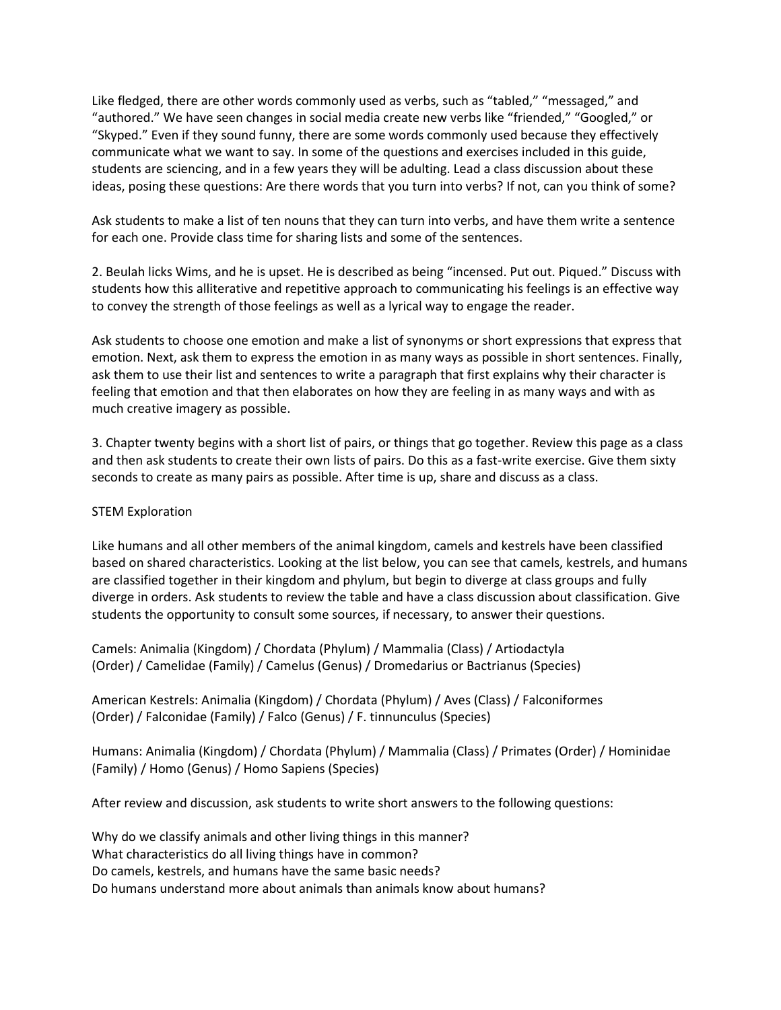Like fledged, there are other words commonly used as verbs, such as "tabled," "messaged," and "authored." We have seen changes in social media create new verbs like "friended," "Googled," or "Skyped." Even if they sound funny, there are some words commonly used because they effectively communicate what we want to say. In some of the questions and exercises included in this guide, students are sciencing, and in a few years they will be adulting. Lead a class discussion about these ideas, posing these questions: Are there words that you turn into verbs? If not, can you think of some?

Ask students to make a list of ten nouns that they can turn into verbs, and have them write a sentence for each one. Provide class time for sharing lists and some of the sentences.

2. Beulah licks Wims, and he is upset. He is described as being "incensed. Put out. Piqued." Discuss with students how this alliterative and repetitive approach to communicating his feelings is an effective way to convey the strength of those feelings as well as a lyrical way to engage the reader.

Ask students to choose one emotion and make a list of synonyms or short expressions that express that emotion. Next, ask them to express the emotion in as many ways as possible in short sentences. Finally, ask them to use their list and sentences to write a paragraph that first explains why their character is feeling that emotion and that then elaborates on how they are feeling in as many ways and with as much creative imagery as possible.

3. Chapter twenty begins with a short list of pairs, or things that go together. Review this page as a class and then ask students to create their own lists of pairs. Do this as a fast-write exercise. Give them sixty seconds to create as many pairs as possible. After time is up, share and discuss as a class.

## STEM Exploration

Like humans and all other members of the animal kingdom, camels and kestrels have been classified based on shared characteristics. Looking at the list below, you can see that camels, kestrels, and humans are classified together in their kingdom and phylum, but begin to diverge at class groups and fully diverge in orders. Ask students to review the table and have a class discussion about classification. Give students the opportunity to consult some sources, if necessary, to answer their questions.

Camels: Animalia (Kingdom) / Chordata (Phylum) / Mammalia (Class) / Artiodactyla (Order) / Camelidae (Family) / Camelus (Genus) / Dromedarius or Bactrianus (Species)

American Kestrels: Animalia (Kingdom) / Chordata (Phylum) / Aves (Class) / Falconiformes (Order) / Falconidae (Family) / Falco (Genus) / F. tinnunculus (Species)

Humans: Animalia (Kingdom) / Chordata (Phylum) / Mammalia (Class) / Primates (Order) / Hominidae (Family) / Homo (Genus) / Homo Sapiens (Species)

After review and discussion, ask students to write short answers to the following questions:

Why do we classify animals and other living things in this manner? What characteristics do all living things have in common? Do camels, kestrels, and humans have the same basic needs? Do humans understand more about animals than animals know about humans?